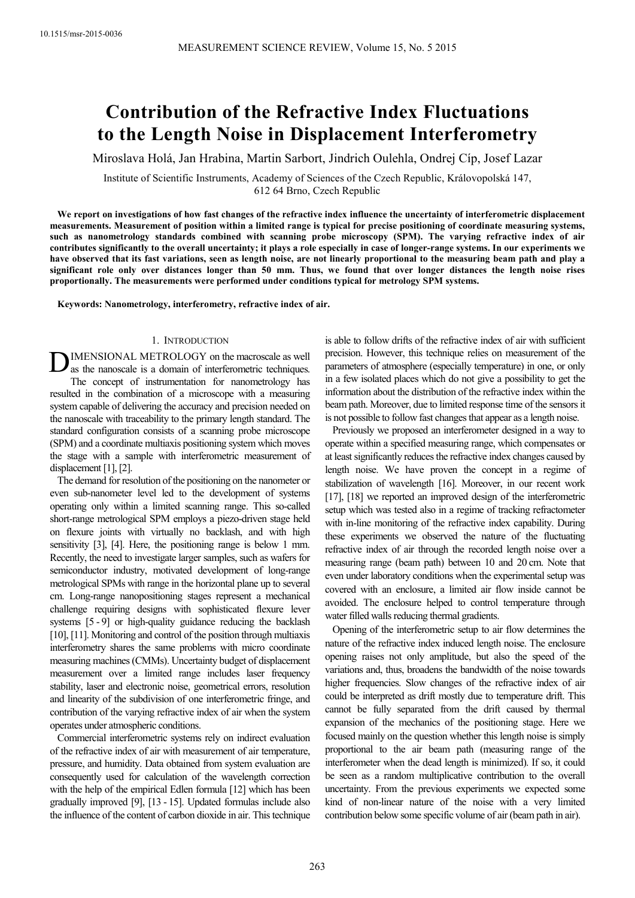# **Contribution of the Refractive Index Fluctuations to the Length Noise in Displacement Interferometry**

Miroslava Holá, Jan Hrabina, Martin Sarbort, Jindrich Oulehla, Ondrej Cíp, Josef Lazar

Institute of Scientific Instruments, Academy of Sciences of the Czech Republic, Královopolská 147, 612 64 Brno, Czech Republic

**We report on investigations of how fast changes of the refractive index influence the uncertainty of interferometric displacement measurements. Measurement of position within a limited range is typical for precise positioning of coordinate measuring systems, such as nanometrology standards combined with scanning probe microscopy (SPM). The varying refractive index of air contributes significantly to the overall uncertainty; it plays a role especially in case of longer-range systems. In our experiments we have observed that its fast variations, seen as length noise, are not linearly proportional to the measuring beam path and play a significant role only over distances longer than 50 mm. Thus, we found that over longer distances the length noise rises proportionally. The measurements were performed under conditions typical for metrology SPM systems.** 

**Keywords: Nanometrology, interferometry, refractive index of air.** 

## 1. INTRODUCTION

IMENSIONAL METROLOGY on the macroscale as well as the nanoscale is a domain of interferometric techniques. The concept of instrumentation for nanometrology has resulted in the combination of a microscope with a measuring system capable of delivering the accuracy and precision needed on the nanoscale with traceability to the primary length standard. The standard configuration consists of a scanning probe microscope (SPM) and a coordinate multiaxis positioning system which moves the stage with a sample with interferometric measurement of displacement [1], [2]. D

The demand for resolution of the positioning on the nanometer or even sub-nanometer level led to the development of systems operating only within a limited scanning range. This so-called short-range metrological SPM employs a piezo-driven stage held on flexure joints with virtually no backlash, and with high sensitivity [3], [4]. Here, the positioning range is below 1 mm. Recently, the need to investigate larger samples, such as wafers for semiconductor industry, motivated development of long-range metrological SPMs with range in the horizontal plane up to several cm. Long-range nanopositioning stages represent a mechanical challenge requiring designs with sophisticated flexure lever systems [5 - 9] or high-quality guidance reducing the backlash [10], [11]. Monitoring and control of the position through multiaxis interferometry shares the same problems with micro coordinate measuring machines (CMMs). Uncertainty budget of displacement measurement over a limited range includes laser frequency stability, laser and electronic noise, geometrical errors, resolution and linearity of the subdivision of one interferometric fringe, and contribution of the varying refractive index of air when the system operates under atmospheric conditions.

Commercial interferometric systems rely on indirect evaluation of the refractive index of air with measurement of air temperature, pressure, and humidity. Data obtained from system evaluation are consequently used for calculation of the wavelength correction with the help of the empirical Edlen formula [12] which has been gradually improved [9], [13 - 15]. Updated formulas include also the influence of the content of carbon dioxide in air. This technique is able to follow drifts of the refractive index of air with sufficient precision. However, this technique relies on measurement of the parameters of atmosphere (especially temperature) in one, or only in a few isolated places which do not give a possibility to get the information about the distribution of the refractive index within the beam path. Moreover, due to limited response time of the sensors it is not possible to follow fast changes that appear as a length noise.

Previously we proposed an interferometer designed in a way to operate within a specified measuring range, which compensates or at least significantly reduces the refractive index changes caused by length noise. We have proven the concept in a regime of stabilization of wavelength [16]. Moreover, in our recent work [17], [18] we reported an improved design of the interferometric setup which was tested also in a regime of tracking refractometer with in-line monitoring of the refractive index capability. During these experiments we observed the nature of the fluctuating refractive index of air through the recorded length noise over a measuring range (beam path) between 10 and 20 cm. Note that even under laboratory conditions when the experimental setup was covered with an enclosure, a limited air flow inside cannot be avoided. The enclosure helped to control temperature through water filled walls reducing thermal gradients.

Opening of the interferometric setup to air flow determines the nature of the refractive index induced length noise. The enclosure opening raises not only amplitude, but also the speed of the variations and, thus, broadens the bandwidth of the noise towards higher frequencies. Slow changes of the refractive index of air could be interpreted as drift mostly due to temperature drift. This cannot be fully separated from the drift caused by thermal expansion of the mechanics of the positioning stage. Here we focused mainly on the question whether this length noise is simply proportional to the air beam path (measuring range of the interferometer when the dead length is minimized). If so, it could be seen as a random multiplicative contribution to the overall uncertainty. From the previous experiments we expected some kind of non-linear nature of the noise with a very limited contribution below some specific volume of air (beam path in air).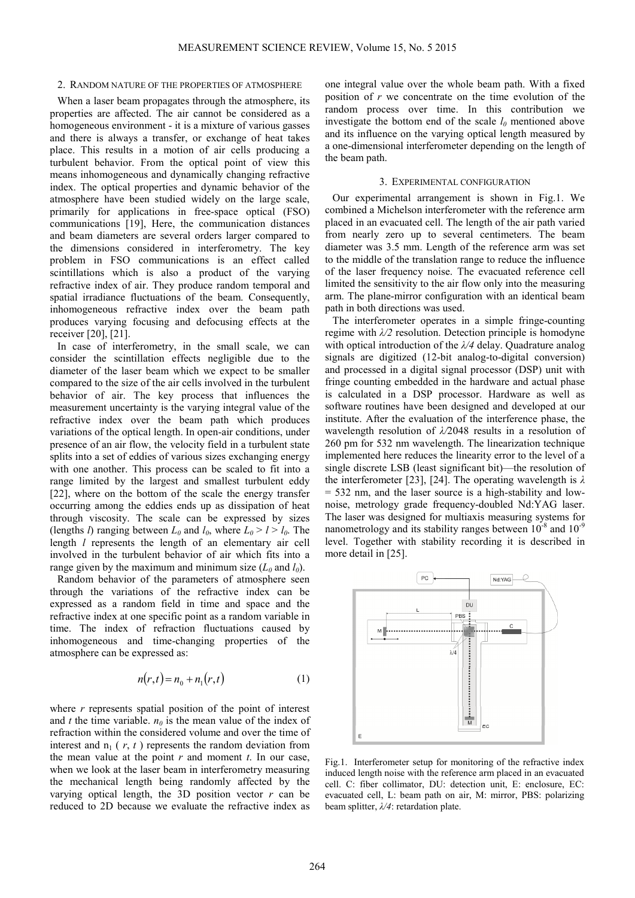#### 2. RANDOM NATURE OF THE PROPERTIES OF ATMOSPHERE

When a laser beam propagates through the atmosphere, its properties are affected. The air cannot be considered as a homogeneous environment - it is a mixture of various gasses and there is always a transfer, or exchange of heat takes place. This results in a motion of air cells producing a turbulent behavior. From the optical point of view this means inhomogeneous and dynamically changing refractive index. The optical properties and dynamic behavior of the atmosphere have been studied widely on the large scale, primarily for applications in free-space optical (FSO) communications [19], Here, the communication distances and beam diameters are several orders larger compared to the dimensions considered in interferometry. The key problem in FSO communications is an effect called scintillations which is also a product of the varying refractive index of air. They produce random temporal and spatial irradiance fluctuations of the beam. Consequently, inhomogeneous refractive index over the beam path produces varying focusing and defocusing effects at the receiver [20], [21].

In case of interferometry, in the small scale, we can consider the scintillation effects negligible due to the diameter of the laser beam which we expect to be smaller compared to the size of the air cells involved in the turbulent behavior of air. The key process that influences the measurement uncertainty is the varying integral value of the refractive index over the beam path which produces variations of the optical length. In open-air conditions, under presence of an air flow, the velocity field in a turbulent state splits into a set of eddies of various sizes exchanging energy with one another. This process can be scaled to fit into a range limited by the largest and smallest turbulent eddy [22], where on the bottom of the scale the energy transfer occurring among the eddies ends up as dissipation of heat through viscosity. The scale can be expressed by sizes (lengths *l*) ranging between  $L_0$  and  $l_0$ , where  $L_0 > l > l_0$ . The length *l* represents the length of an elementary air cell involved in the turbulent behavior of air which fits into a range given by the maximum and minimum size  $(L_0 \text{ and } l_0)$ .

Random behavior of the parameters of atmosphere seen through the variations of the refractive index can be expressed as a random field in time and space and the refractive index at one specific point as a random variable in time. The index of refraction fluctuations caused by inhomogeneous and time-changing properties of the atmosphere can be expressed as:

$$
n(r,t) = n_0 + n_1(r,t)
$$
 (1)

where *r* represents spatial position of the point of interest and *t* the time variable.  $n_0$  is the mean value of the index of refraction within the considered volume and over the time of interest and  $n_1$  ( $r$ ,  $t$ ) represents the random deviation from the mean value at the point  $r$  and moment  $t$ . In our case, when we look at the laser beam in interferometry measuring the mechanical length being randomly affected by the varying optical length, the 3D position vector  $r$  can be reduced to 2D because we evaluate the refractive index as

one integral value over the whole beam path. With a fixed position of *r* we concentrate on the time evolution of the random process over time. In this contribution we investigate the bottom end of the scale  $l_0$  mentioned above and its influence on the varying optical length measured by a one-dimensional interferometer depending on the length of the beam path.

# 3. EXPERIMENTAL CONFIGURATION

Our experimental arrangement is shown in Fig.1. We combined a Michelson interferometer with the reference arm placed in an evacuated cell. The length of the air path varied from nearly zero up to several centimeters. The beam diameter was 3.5 mm. Length of the reference arm was set to the middle of the translation range to reduce the influence of the laser frequency noise. The evacuated reference cell limited the sensitivity to the air flow only into the measuring arm. The plane-mirror configuration with an identical beam path in both directions was used.

The interferometer operates in a simple fringe-counting regime with  $\lambda/2$  resolution. Detection principle is homodyne with optical introduction of the *λ/4* delay. Quadrature analog signals are digitized (12-bit analog-to-digital conversion) and processed in a digital signal processor (DSP) unit with fringe counting embedded in the hardware and actual phase is calculated in a DSP processor. Hardware as well as software routines have been designed and developed at our institute. After the evaluation of the interference phase, the wavelength resolution of *λ/*2048 results in a resolution of 260 pm for 532 nm wavelength. The linearization technique implemented here reduces the linearity error to the level of a single discrete LSB (least significant bit)—the resolution of the interferometer [23], [24]. The operating wavelength is *λ* = 532 nm, and the laser source is a high-stability and lownoise, metrology grade frequency-doubled Nd:YAG laser. The laser was designed for multiaxis measuring systems for nanometrology and its stability ranges between  $10^{-8}$  and  $10^{-9}$ level. Together with stability recording it is described in more detail in [25].



Fig.1. Interferometer setup for monitoring of the refractive index induced length noise with the reference arm placed in an evacuated cell. C: fiber collimator, DU: detection unit, E: enclosure, EC: evacuated cell, L: beam path on air, M: mirror, PBS: polarizing beam splitter, *λ/4*: retardation plate.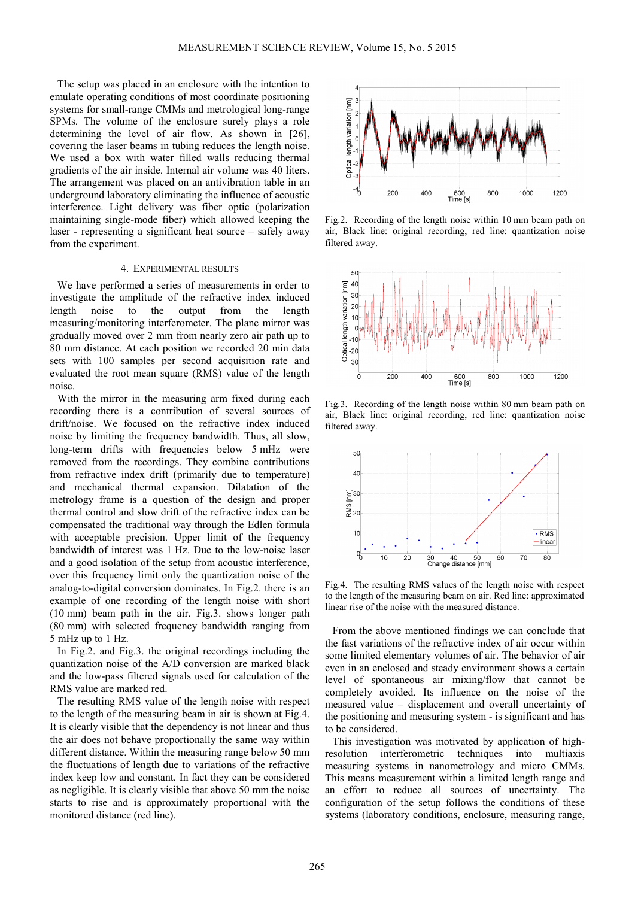The setup was placed in an enclosure with the intention to emulate operating conditions of most coordinate positioning systems for small-range CMMs and metrological long-range SPMs. The volume of the enclosure surely plays a role determining the level of air flow. As shown in [26], covering the laser beams in tubing reduces the length noise. We used a box with water filled walls reducing thermal gradients of the air inside. Internal air volume was 40 liters. The arrangement was placed on an antivibration table in an underground laboratory eliminating the influence of acoustic interference. Light delivery was fiber optic (polarization maintaining single-mode fiber) which allowed keeping the laser - representing a significant heat source – safely away from the experiment.

#### 4. EXPERIMENTAL RESULTS

We have performed a series of measurements in order to investigate the amplitude of the refractive index induced length noise to the output from the length measuring/monitoring interferometer. The plane mirror was gradually moved over 2 mm from nearly zero air path up to 80 mm distance. At each position we recorded 20 min data sets with 100 samples per second acquisition rate and evaluated the root mean square (RMS) value of the length noise.

With the mirror in the measuring arm fixed during each recording there is a contribution of several sources of drift/noise. We focused on the refractive index induced noise by limiting the frequency bandwidth. Thus, all slow, long-term drifts with frequencies below 5 mHz were removed from the recordings. They combine contributions from refractive index drift (primarily due to temperature) and mechanical thermal expansion. Dilatation of the metrology frame is a question of the design and proper thermal control and slow drift of the refractive index can be compensated the traditional way through the Edlen formula with acceptable precision. Upper limit of the frequency bandwidth of interest was 1 Hz. Due to the low-noise laser and a good isolation of the setup from acoustic interference, over this frequency limit only the quantization noise of the analog-to-digital conversion dominates. In Fig.2. there is an example of one recording of the length noise with short (10 mm) beam path in the air. Fig.3. shows longer path (80 mm) with selected frequency bandwidth ranging from 5 mHz up to 1 Hz.

In Fig.2. and Fig.3. the original recordings including the quantization noise of the A/D conversion are marked black and the low-pass filtered signals used for calculation of the RMS value are marked red.

The resulting RMS value of the length noise with respect to the length of the measuring beam in air is shown at Fig.4. It is clearly visible that the dependency is not linear and thus the air does not behave proportionally the same way within different distance. Within the measuring range below 50 mm the fluctuations of length due to variations of the refractive index keep low and constant. In fact they can be considered as negligible. It is clearly visible that above 50 mm the noise starts to rise and is approximately proportional with the monitored distance (red line).



Fig.2. Recording of the length noise within 10 mm beam path on air, Black line: original recording, red line: quantization noise filtered away.



Fig.3. Recording of the length noise within 80 mm beam path on air, Black line: original recording, red line: quantization noise filtered away.



Fig.4. The resulting RMS values of the length noise with respect to the length of the measuring beam on air. Red line: approximated linear rise of the noise with the measured distance.

From the above mentioned findings we can conclude that the fast variations of the refractive index of air occur within some limited elementary volumes of air. The behavior of air even in an enclosed and steady environment shows a certain level of spontaneous air mixing/flow that cannot be completely avoided. Its influence on the noise of the measured value – displacement and overall uncertainty of the positioning and measuring system - is significant and has to be considered.

This investigation was motivated by application of highresolution interferometric techniques into multiaxis measuring systems in nanometrology and micro CMMs. This means measurement within a limited length range and an effort to reduce all sources of uncertainty. The configuration of the setup follows the conditions of these systems (laboratory conditions, enclosure, measuring range,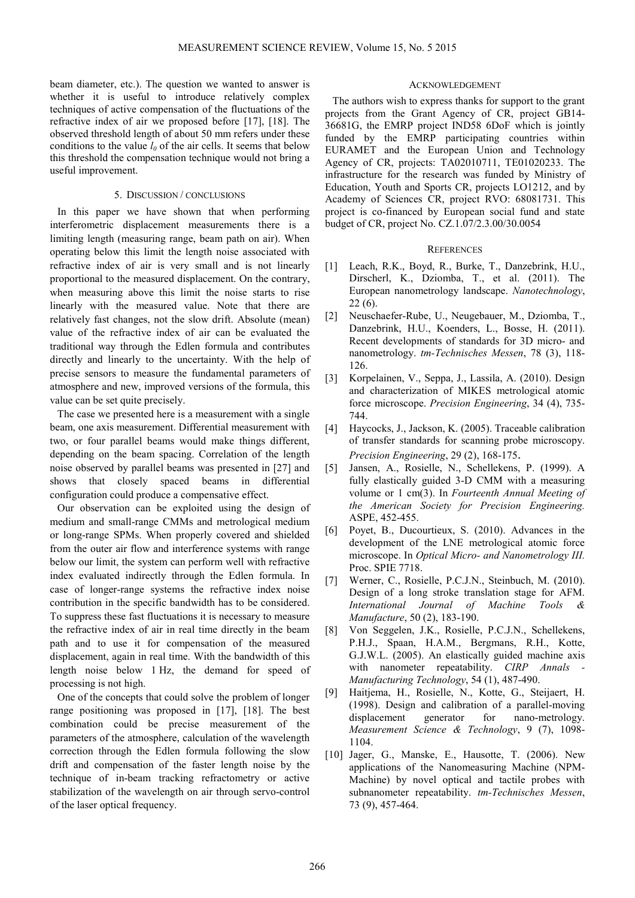beam diameter, etc.). The question we wanted to answer is whether it is useful to introduce relatively complex techniques of active compensation of the fluctuations of the refractive index of air we proposed before [17], [18]. The observed threshold length of about 50 mm refers under these conditions to the value  $l_0$  of the air cells. It seems that below this threshold the compensation technique would not bring a useful improvement.

# 5. DISCUSSION / CONCLUSIONS

In this paper we have shown that when performing interferometric displacement measurements there is a limiting length (measuring range, beam path on air). When operating below this limit the length noise associated with refractive index of air is very small and is not linearly proportional to the measured displacement. On the contrary, when measuring above this limit the noise starts to rise linearly with the measured value. Note that there are relatively fast changes, not the slow drift. Absolute (mean) value of the refractive index of air can be evaluated the traditional way through the Edlen formula and contributes directly and linearly to the uncertainty. With the help of precise sensors to measure the fundamental parameters of atmosphere and new, improved versions of the formula, this value can be set quite precisely.

The case we presented here is a measurement with a single beam, one axis measurement. Differential measurement with two, or four parallel beams would make things different, depending on the beam spacing. Correlation of the length noise observed by parallel beams was presented in [27] and shows that closely spaced beams in differential configuration could produce a compensative effect.

Our observation can be exploited using the design of medium and small-range CMMs and metrological medium or long-range SPMs. When properly covered and shielded from the outer air flow and interference systems with range below our limit, the system can perform well with refractive index evaluated indirectly through the Edlen formula. In case of longer-range systems the refractive index noise contribution in the specific bandwidth has to be considered. To suppress these fast fluctuations it is necessary to measure the refractive index of air in real time directly in the beam path and to use it for compensation of the measured displacement, again in real time. With the bandwidth of this length noise below 1 Hz, the demand for speed of processing is not high.

One of the concepts that could solve the problem of longer range positioning was proposed in [17], [18]. The best combination could be precise measurement of the parameters of the atmosphere, calculation of the wavelength correction through the Edlen formula following the slow drift and compensation of the faster length noise by the technique of in-beam tracking refractometry or active stabilization of the wavelength on air through servo-control of the laser optical frequency.

## ACKNOWLEDGEMENT

The authors wish to express thanks for support to the grant projects from the Grant Agency of CR, project GB14- 36681G, the EMRP project IND58 6DoF which is jointly funded by the EMRP participating countries within EURAMET and the European Union and Technology Agency of CR, projects: TA02010711, TE01020233. The infrastructure for the research was funded by Ministry of Education, Youth and Sports CR, projects LO1212, and by Academy of Sciences CR, project RVO: 68081731. This project is co-financed by European social fund and state budget of CR, project No. CZ.1.07/2.3.00/30.0054

## **REFERENCES**

- [1] Leach, R.K., Boyd, R., Burke, T., Danzebrink, H.U., Dirscherl, K., Dziomba, T., et al. (2011). The European nanometrology landscape. *Nanotechnology*, 22 (6).
- [2] Neuschaefer-Rube, U., Neugebauer, M., Dziomba, T., Danzebrink, H.U., Koenders, L., Bosse, H. (2011). Recent developments of standards for 3D micro- and nanometrology. *tm-Technisches Messen*, 78 (3), 118- 126.
- [3] Korpelainen, V., Seppa, J., Lassila, A. (2010). Design and characterization of MIKES metrological atomic force microscope. *Precision Engineering*, 34 (4), 735- 744.
- [4] Haycocks, J., Jackson, K. (2005). Traceable calibration of transfer standards for scanning probe microscopy. *Precision Engineering*, 29 (2), 168-175.
- [5] Jansen, A., Rosielle, N., Schellekens, P. (1999). A fully elastically guided 3-D CMM with a measuring volume or 1 cm(3). In *Fourteenth Annual Meeting of the American Society for Precision Engineering.* ASPE, 452-455.
- [6] Poyet, B., Ducourtieux, S. (2010). Advances in the development of the LNE metrological atomic force microscope. In *Optical Micro- and Nanometrology III.* Proc. SPIE 7718.
- [7] Werner, C., Rosielle, P.C.J.N., Steinbuch, M. (2010). Design of a long stroke translation stage for AFM. *International Journal of Machine Tools & Manufacture*, 50 (2), 183-190.
- [8] Von Seggelen, J.K., Rosielle, P.C.J.N., Schellekens, P.H.J., Spaan, H.A.M., Bergmans, R.H., Kotte, G.J.W.L. (2005). An elastically guided machine axis with nanometer repeatability. *CIRP Annals Manufacturing Technology*, 54 (1), 487-490.
- [9] Haitjema, H., Rosielle, N., Kotte, G., Steijaert, H. (1998). Design and calibration of a parallel-moving displacement generator for nano-metrology. *Measurement Science & Technology*, 9 (7), 1098- 1104.
- [10] Jager, G., Manske, E., Hausotte, T. (2006). New applications of the Nanomeasuring Machine (NPM-Machine) by novel optical and tactile probes with subnanometer repeatability. *tm-Technisches Messen*, 73 (9), 457-464.